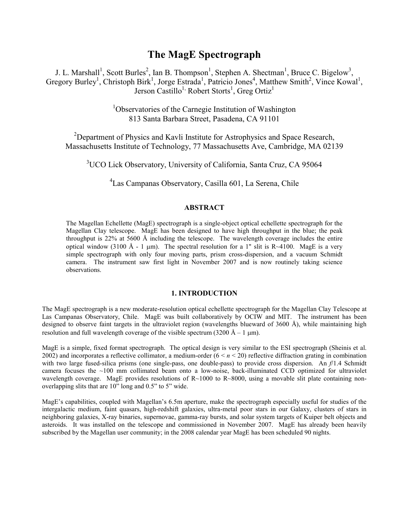# **The MagE Spectrograph**

J. L. Marshall<sup>1</sup>, Scott Burles<sup>2</sup>, Ian B. Thompson<sup>1</sup>, Stephen A. Shectman<sup>1</sup>, Bruce C. Bigelow<sup>3</sup>, Gregory Burley<sup>1</sup>, Christoph Birk<sup>1</sup>, Jorge Estrada<sup>1</sup>, Patricio Jones<sup>4</sup>, Matthew Smith<sup>2</sup>, Vince Kowal<sup>1</sup>, Jerson Castillo<sup>1,</sup> Robert Storts<sup>1</sup>, Greg Ortiz<sup>1</sup>

> <sup>1</sup>Observatories of the Carnegie Institution of Washington 813 Santa Barbara Street, Pasadena, CA 91101

<sup>2</sup>Department of Physics and Kavli Institute for Astrophysics and Space Research, Massachusetts Institute of Technology, 77 Massachusetts Ave, Cambridge, MA 02139

<sup>3</sup>UCO Lick Observatory, University of California, Santa Cruz, CA 95064

4 Las Campanas Observatory, Casilla 601, La Serena, Chile

# **ABSTRACT**

The Magellan Echellette (MagE) spectrograph is a single-object optical echellette spectrograph for the Magellan Clay telescope. MagE has been designed to have high throughput in the blue; the peak throughput is 22% at 5600 Å including the telescope. The wavelength coverage includes the entire optical window (3100 Å - 1  $\mu$ m). The spectral resolution for a 1" slit is R $\sim$ 4100. MagE is a very simple spectrograph with only four moving parts, prism cross-dispersion, and a vacuum Schmidt camera. The instrument saw first light in November 2007 and is now routinely taking science observations.

# **1. INTRODUCTION**

The MagE spectrograph is a new moderate-resolution optical echellette spectrograph for the Magellan Clay Telescope at Las Campanas Observatory, Chile. MagE was built collaboratively by OCIW and MIT. The instrument has been designed to observe faint targets in the ultraviolet region (wavelengths blueward of 3600 Å), while maintaining high resolution and full wavelength coverage of the visible spectrum (3200 Å – 1  $\mu$ m).

MagE is a simple, fixed format spectrograph. The optical design is very similar to the ESI spectrograph (Sheinis et al. 2002) and incorporates a reflective collimator, a medium-order  $(6 < n < 20)$  reflective diffraction grating in combination with two large fused-silica prisms (one single-pass, one double-pass) to provide cross dispersion. An  $f/1.4$  Schmidt camera focuses the ~100 mm collimated beam onto a low-noise, back-illuminated CCD optimized for ultraviolet wavelength coverage. MagE provides resolutions of R~1000 to R~8000, using a movable slit plate containing nonoverlapping slits that are 10" long and 0.5" to 5" wide.

MagE's capabilities, coupled with Magellan's 6.5m aperture, make the spectrograph especially useful for studies of the intergalactic medium, faint quasars, high-redshift galaxies, ultra-metal poor stars in our Galaxy, clusters of stars in neighboring galaxies, X-ray binaries, supernovae, gamma-ray bursts, and solar system targets of Kuiper belt objects and asteroids. It was installed on the telescope and commissioned in November 2007. MagE has already been heavily subscribed by the Magellan user community; in the 2008 calendar year MagE has been scheduled 90 nights.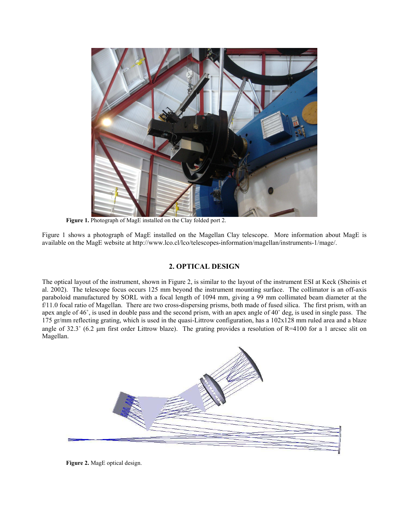

**Figure 1.** Photograph of MagE installed on the Clay folded port 2.

Figure 1 shows a photograph of MagE installed on the Magellan Clay telescope. More information about MagE is available on the MagE website at http://www.lco.cl/lco/telescopes-information/magellan/instruments-1/mage/.

# **2. OPTICAL DESIGN**

The optical layout of the instrument, shown in Figure 2, is similar to the layout of the instrument ESI at Keck (Sheinis et al. 2002). The telescope focus occurs 125 mm beyond the instrument mounting surface. The collimator is an off-axis paraboloid manufactured by SORL with a focal length of 1094 mm, giving a 99 mm collimated beam diameter at the f/11.0 focal ratio of Magellan. There are two cross-dispersing prisms, both made of fused silica. The first prism, with an apex angle of 46˚, is used in double pass and the second prism, with an apex angle of 40˚ deg, is used in single pass. The 175 gr/mm reflecting grating, which is used in the quasi-Littrow configuration, has a  $102x128$  mm ruled area and a blaze angle of 32.3° (6.2  $\mu$ m first order Littrow blaze). The grating provides a resolution of R=4100 for a 1 arcsec slit on Magellan.



**Figure 2.** MagE optical design.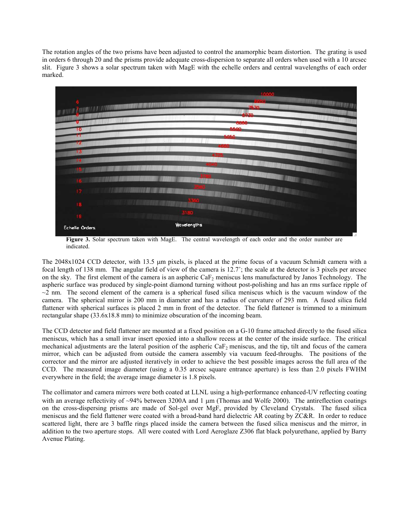The rotation angles of the two prisms have been adjusted to control the anamorphic beam distortion. The grating is used in orders 6 through 20 and the prisms provide adequate cross-dispersion to separate all orders when used with a 10 arcsec slit. Figure 3 shows a solar spectrum taken with MagE with the echelle orders and central wavelengths of each order marked.



**Figure 3.** Solar spectrum taken with MagE. The central wavelength of each order and the order number are indicated.

The 2048x1024 CCD detector, with 13.5 µm pixels, is placed at the prime focus of a vacuum Schmidt camera with a focal length of 138 mm. The angular field of view of the camera is 12.7˚; the scale at the detector is 3 pixels per arcsec on the sky. The first element of the camera is an aspheric  $CaF<sub>2</sub>$  meniscus lens manufactured by Janos Technology. The aspheric surface was produced by single-point diamond turning without post-polishing and has an rms surface ripple of  $\sim$ 2 nm. The second element of the camera is a spherical fused silica meniscus which is the vacuum window of the camera. The spherical mirror is 200 mm in diameter and has a radius of curvature of 293 mm. A fused silica field flattener with spherical surfaces is placed 2 mm in front of the detector. The field flattener is trimmed to a minimum rectangular shape (33.6x18.8 mm) to minimize obscuration of the incoming beam.

The CCD detector and field flattener are mounted at a fixed position on a G-10 frame attached directly to the fused silica meniscus, which has a small invar insert epoxied into a shallow recess at the center of the inside surface. The critical mechanical adjustments are the lateral position of the aspheric  $CaF<sub>2</sub>$  meniscus, and the tip, tilt and focus of the camera mirror, which can be adjusted from outside the camera assembly via vacuum feed-throughs. The positions of the corrector and the mirror are adjusted iteratively in order to achieve the best possible images across the full area of the CCD. The measured image diameter (using a 0.35 arcsec square entrance aperture) is less than 2.0 pixels FWHM everywhere in the field; the average image diameter is 1.8 pixels.

The collimator and camera mirrors were both coated at LLNL using a high-performance enhanced-UV reflecting coating with an average reflectivity of  $\sim$ 94% between 3200A and 1  $\mu$ m (Thomas and Wolfe 2000). The antireflection coatings on the cross-dispersing prisms are made of Sol-gel over MgF, provided by Cleveland Crystals. The fused silica meniscus and the field flattener were coated with a broad-band hard dielectric AR coating by ZC&R. In order to reduce scattered light, there are 3 baffle rings placed inside the camera between the fused silica meniscus and the mirror, in addition to the two aperture stops. All were coated with Lord Aeroglaze Z306 flat black polyurethane, applied by Barry Avenue Plating.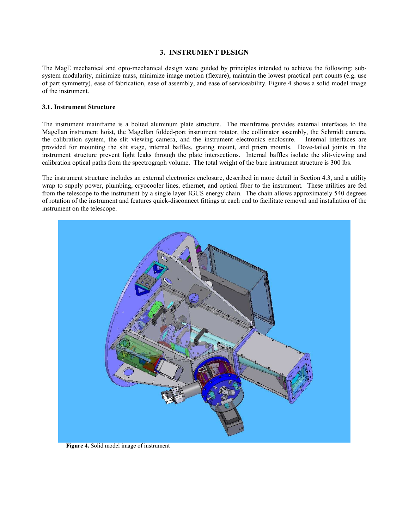### **3. INSTRUMENT DESIGN**

The MagE mechanical and opto-mechanical design were guided by principles intended to achieve the following: subsystem modularity, minimize mass, minimize image motion (flexure), maintain the lowest practical part counts (e.g. use of part symmetry), ease of fabrication, ease of assembly, and ease of serviceability. Figure 4 shows a solid model image of the instrument.

#### **3.1. Instrument Structure**

The instrument mainframe is a bolted aluminum plate structure. The mainframe provides external interfaces to the Magellan instrument hoist, the Magellan folded-port instrument rotator, the collimator assembly, the Schmidt camera, the calibration system, the slit viewing camera, and the instrument electronics enclosure. Internal interfaces are provided for mounting the slit stage, internal baffles, grating mount, and prism mounts. Dove-tailed joints in the instrument structure prevent light leaks through the plate intersections. Internal baffles isolate the slit-viewing and calibration optical paths from the spectrograph volume. The total weight of the bare instrument structure is 300 lbs.

The instrument structure includes an external electronics enclosure, described in more detail in Section 4.3, and a utility wrap to supply power, plumbing, cryocooler lines, ethernet, and optical fiber to the instrument. These utilities are fed from the telescope to the instrument by a single layer IGUS energy chain. The chain allows approximately 540 degrees of rotation of the instrument and features quick-disconnect fittings at each end to facilitate removal and installation of the instrument on the telescope.



**Figure 4.** Solid model image of instrument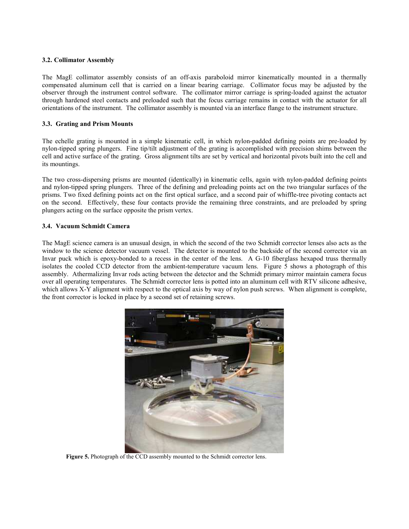### **3.2. Collimator Assembly**

The MagE collimator assembly consists of an off-axis paraboloid mirror kinematically mounted in a thermally compensated aluminum cell that is carried on a linear bearing carriage. Collimator focus may be adjusted by the observer through the instrument control software. The collimator mirror carriage is spring-loaded against the actuator through hardened steel contacts and preloaded such that the focus carriage remains in contact with the actuator for all orientations of the instrument. The collimator assembly is mounted via an interface flange to the instrument structure.

### **3.3. Grating and Prism Mounts**

The echelle grating is mounted in a simple kinematic cell, in which nylon-padded defining points are pre-loaded by nylon-tipped spring plungers. Fine tip/tilt adjustment of the grating is accomplished with precision shims between the cell and active surface of the grating. Gross alignment tilts are set by vertical and horizontal pivots built into the cell and its mountings.

The two cross-dispersing prisms are mounted (identically) in kinematic cells, again with nylon-padded defining points and nylon-tipped spring plungers. Three of the defining and preloading points act on the two triangular surfaces of the prisms. Two fixed defining points act on the first optical surface, and a second pair of whiffle-tree pivoting contacts act on the second. Effectively, these four contacts provide the remaining three constraints, and are preloaded by spring plungers acting on the surface opposite the prism vertex.

### **3.4. Vacuum Schmidt Camera**

The MagE science camera is an unusual design, in which the second of the two Schmidt corrector lenses also acts as the window to the science detector vacuum vessel. The detector is mounted to the backside of the second corrector via an Invar puck which is epoxy-bonded to a recess in the center of the lens. A G-10 fiberglass hexapod truss thermally isolates the cooled CCD detector from the ambient-temperature vacuum lens. Figure 5 shows a photograph of this assembly. Athermalizing Invar rods acting between the detector and the Schmidt primary mirror maintain camera focus over all operating temperatures. The Schmidt corrector lens is potted into an aluminum cell with RTV silicone adhesive, which allows X-Y alignment with respect to the optical axis by way of nylon push screws. When alignment is complete, the front corrector is locked in place by a second set of retaining screws.



**Figure 5.** Photograph of the CCD assembly mounted to the Schmidt corrector lens.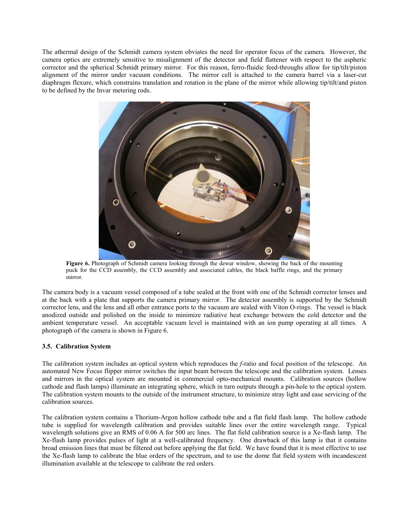The athermal design of the Schmidt camera system obviates the need for operator focus of the camera. However, the camera optics are extremely sensitive to misalignment of the detector and field flattener with respect to the aspheric corrector and the spherical Schmidt primary mirror. For this reason, ferro-fluidic feed-throughs allow for tip/tilt/piston alignment of the mirror under vacuum conditions. The mirror cell is attached to the camera barrel via a laser-cut diaphragm flexure, which constrains translation and rotation in the plane of the mirror while allowing tip/tilt/and piston to be defined by the Invar metering rods.



**Figure 6.** Photograph of Schmidt camera looking through the dewar window, showing the back of the mounting puck for the CCD assembly, the CCD assembly and associated cables, the black baffle rings, and the primary mirror.

The camera body is a vacuum vessel composed of a tube sealed at the front with one of the Schmidt corrector lenses and at the back with a plate that supports the camera primary mirror. The detector assembly is supported by the Schmidt corrector lens, and the lens and all other entrance ports to the vacuum are sealed with Viton O-rings. The vessel is black anodized outside and polished on the inside to minimize radiative heat exchange between the cold detector and the ambient temperature vessel. An acceptable vacuum level is maintained with an ion pump operating at all times. A photograph of the camera is shown in Figure 6.

## **3.5. Calibration System**

The calibration system includes an optical system which reproduces the *f*-ratio and focal position of the telescope. An automated New Focus flipper mirror switches the input beam between the telescope and the calibration system. Lenses and mirrors in the optical system are mounted in commercial opto-mechanical mounts. Calibration sources (hollow cathode and flash lamps) illuminate an integrating sphere, which in turn outputs through a pin-hole to the optical system. The calibration system mounts to the outside of the instrument structure, to minimize stray light and ease servicing of the calibration sources.

The calibration system contains a Thorium-Argon hollow cathode tube and a flat field flash lamp. The hollow cathode tube is supplied for wavelength calibration and provides suitable lines over the entire wavelength range. Typical wavelength solutions give an RMS of 0.06 A for 500 arc lines. The flat field calibration source is a Xe-flash lamp. The Xe-flash lamp provides pulses of light at a well-calibrated frequency. One drawback of this lamp is that it contains broad emission lines that must be filtered out before applying the flat field. We have found that it is most effective to use the Xe-flash lamp to calibrate the blue orders of the spectrum, and to use the dome flat field system with incandescent illumination available at the telescope to calibrate the red orders.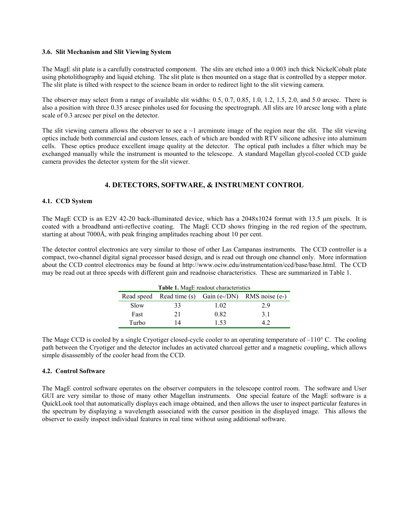#### **3.6. Slit Mechanism and Slit Viewing System**

The MagE slit plate is a carefully constructed component. The slits are etched into a 0.003 inch thick NickelCobalt plate using photolithography and liquid etching. The slit plate is then mounted on a stage that is controlled by a stepper motor. The slit plate is tilted with respect to the science beam in order to redirect light to the slit viewing camera.

The observer may select from a range of available slit widths: 0.5, 0.7, 0.85, 1.0, 1.2, 1.5, 2.0, and 5.0 arcsec. There is also a position with three 0.35 arcsec pinholes used for focusing the spectrograph. All slits are 10 arcsec long with a plate scale of 0.3 arcsec per pixel on the detector.

The slit viewing camera allows the observer to see a  $\sim$ 1 arcminute image of the region near the slit. The slit viewing optics include both commercial and custom lenses, each of which are bonded with RTV silicone adhesive into aluminum cells. These optics produce excellent image quality at the detector. The optical path includes a filter which may be exchanged manually while the instrument is mounted to the telescope. A standard Magellan glycol-cooled CCD guide camera provides the detector system for the slit viewer.

# **4. DETECTORS, SOFTWARE, & INSTRUMENT CONTROL**

### **4.1. CCD System**

The MagE CCD is an E2V 42-20 back-illuminated device, which has a 2048x1024 format with 13.5 µm pixels. It is coated with a broadband anti-reflective coating. The MagE CCD shows fringing in the red region of the spectrum, starting at about 7000Å, with peak fringing amplitudes reaching about 10 per cent.

The detector control electronics are very similar to those of other Las Campanas instruments. The CCD controller is a compact, two-channel digital signal processor based design, and is read out through one channel only. More information about the CCD control electronics may be found at http://www.ociw.edu/instrumentation/ccd/base/base.html. The CCD may be read out at three speeds with different gain and readnoise characteristics. These are summarized in Table 1.

| <b>Table 1.</b> MagE readout characteristics |    |      |                                                      |  |  |  |  |  |
|----------------------------------------------|----|------|------------------------------------------------------|--|--|--|--|--|
|                                              |    |      | Read speed Read time (s) $Gain(e-DN)$ RMS noise (e-) |  |  |  |  |  |
| Slow                                         | 33 | 1 02 | 29                                                   |  |  |  |  |  |
| Fast                                         | 21 | 0.82 | 31                                                   |  |  |  |  |  |
| Turbo                                        | 14 | 1.53 | 19                                                   |  |  |  |  |  |

The Mage CCD is cooled by a single Cryotiger closed-cycle cooler to an operating temperature of  $-110^{\circ}$  C. The cooling path between the Cryotiger and the detector includes an activated charcoal getter and a magnetic coupling, which allows simple disassembly of the cooler head from the CCD.

### **4.2. Control Software**

The MagE control software operates on the observer computers in the telescope control room. The software and User GUI are very similar to those of many other Magellan instruments. One special feature of the MagE software is a QuickLook tool that automatically displays each image obtained, and then allows the user to inspect particular features in the spectrum by displaying a wavelength associated with the cursor position in the displayed image. This allows the observer to easily inspect individual features in real time without using additional software.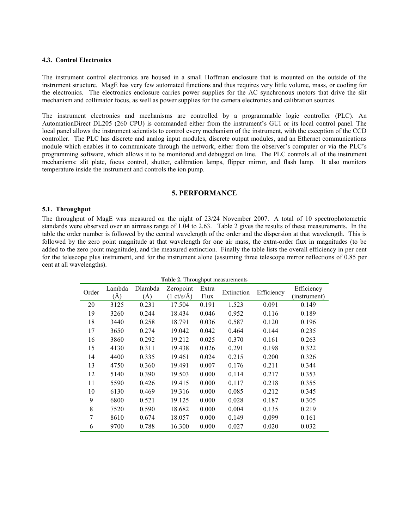#### **4.3. Control Electronics**

The instrument control electronics are housed in a small Hoffman enclosure that is mounted on the outside of the instrument structure. MagE has very few automated functions and thus requires very little volume, mass, or cooling for the electronics. The electronics enclosure carries power supplies for the AC synchronous motors that drive the slit mechanism and collimator focus, as well as power supplies for the camera electronics and calibration sources.

The instrument electronics and mechanisms are controlled by a programmable logic controller (PLC). An AutomationDirect DL205 (260 CPU) is commanded either from the instrument's GUI or its local control panel. The local panel allows the instrument scientists to control every mechanism of the instrument, with the exception of the CCD controller. The PLC has discrete and analog input modules, discrete output modules, and an Ethernet communications module which enables it to communicate through the network, either from the observer's computer or via the PLC's programming software, which allows it to be monitored and debugged on line. The PLC controls all of the instrument mechanisms: slit plate, focus control, shutter, calibration lamps, flipper mirror, and flash lamp. It also monitors temperature inside the instrument and controls the ion pump.

#### **5. PERFORMANCE**

#### **5.1. Throughput**

The throughput of MagE was measured on the night of 23/24 November 2007. A total of 10 spectrophotometric standards were observed over an airmass range of 1.04 to 2.63. Table 2 gives the results of these measurements. In the table the order number is followed by the central wavelength of the order and the dispersion at that wavelength. This is followed by the zero point magnitude at that wavelength for one air mass, the extra-order flux in magnitudes (to be added to the zero point magnitude), and the measured extinction. Finally the table lists the overall efficiency in per cent for the telescope plus instrument, and for the instrument alone (assuming three telescope mirror reflections of 0.85 per cent at all wavelengths).

| <b>Table 2.</b> Throughput measurements |                      |                           |                                   |               |            |            |                            |  |  |
|-----------------------------------------|----------------------|---------------------------|-----------------------------------|---------------|------------|------------|----------------------------|--|--|
| Order                                   | Lambda<br>$\rm(\AA)$ | <b>Dlambda</b><br>$(\AA)$ | Zeropoint<br>$(1 \text{ ct/s/A})$ | Extra<br>Flux | Extinction | Efficiency | Efficiency<br>(instrument) |  |  |
| 20                                      | 3125                 | 0.231                     | 17.504                            | 0.191         | 1.523      | 0.091      | 0.149                      |  |  |
| 19                                      | 3260                 | 0.244                     | 18.434                            | 0.046         | 0.952      | 0.116      | 0.189                      |  |  |
| 18                                      | 3440                 | 0.258                     | 18.791                            | 0.036         | 0.587      | 0.120      | 0.196                      |  |  |
| 17                                      | 3650                 | 0.274                     | 19.042                            | 0.042         | 0.464      | 0.144      | 0.235                      |  |  |
| 16                                      | 3860                 | 0.292                     | 19.212                            | 0.025         | 0.370      | 0.161      | 0.263                      |  |  |
| 15                                      | 4130                 | 0.311                     | 19.438                            | 0.026         | 0.291      | 0.198      | 0.322                      |  |  |
| 14                                      | 4400                 | 0.335                     | 19.461                            | 0.024         | 0.215      | 0.200      | 0.326                      |  |  |
| 13                                      | 4750                 | 0.360                     | 19.491                            | 0.007         | 0.176      | 0.211      | 0.344                      |  |  |
| 12                                      | 5140                 | 0.390                     | 19.503                            | 0.000         | 0.114      | 0.217      | 0.353                      |  |  |
| 11                                      | 5590                 | 0.426                     | 19.415                            | 0.000         | 0.117      | 0.218      | 0.355                      |  |  |
| 10                                      | 6130                 | 0.469                     | 19.316                            | 0.000         | 0.085      | 0.212      | 0.345                      |  |  |
| 9                                       | 6800                 | 0.521                     | 19.125                            | 0.000         | 0.028      | 0.187      | 0.305                      |  |  |
| 8                                       | 7520                 | 0.590                     | 18.682                            | 0.000         | 0.004      | 0.135      | 0.219                      |  |  |
| 7                                       | 8610                 | 0.674                     | 18.057                            | 0.000         | 0.149      | 0.099      | 0.161                      |  |  |
| 6                                       | 9700                 | 0.788                     | 16.300                            | 0.000         | 0.027      | 0.020      | 0.032                      |  |  |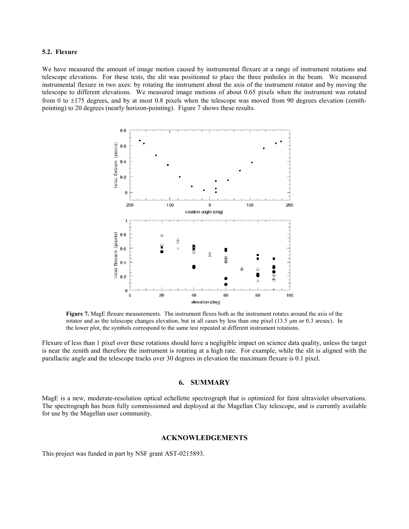### **5.2. Flexure**

We have measured the amount of image motion caused by instrumental flexure at a range of instrument rotations and telescope elevations. For these tests, the slit was positioned to place the three pinholes in the beam. We measured instrumental flexure in two axes: by rotating the instrument about the axis of the instrument rotator and by moving the telescope to different elevations. We measured image motions of about 0.65 pixels when the instrument was rotated from 0 to ±175 degrees, and by at most 0.8 pixels when the telescope was moved from 90 degrees elevation (zenithpointing) to 20 degrees (nearly horizon-pointing). Figure 7 shows these results.



**Figure 7.** MagE flexure measurements. The instrument flexes both as the instrument rotates around the axis of the rotator and as the telescope changes elevation, but in all cases by less than one pixel  $(13.5 \text{ µm or } 0.3 \text{ arcsec})$ . In the lower plot, the symbols correspond to the same test repeated at different instrument rotations.

Flexure of less than 1 pixel over these rotations should have a negligible impact on science data quality, unless the target is near the zenith and therefore the instrument is rotating at a high rate. For example, while the slit is aligned with the parallactic angle and the telescope tracks over 30 degrees in elevation the maximum flexure is 0.1 pixel.

## **6. SUMMARY**

MagE is a new, moderate-resolution optical echellette spectrograph that is optimized for faint ultraviolet observations. The spectrograph has been fully commissioned and deployed at the Magellan Clay telescope, and is currently available for use by the Magellan user community.

# **ACKNOWLEDGEMENTS**

This project was funded in part by NSF grant AST-0215893.